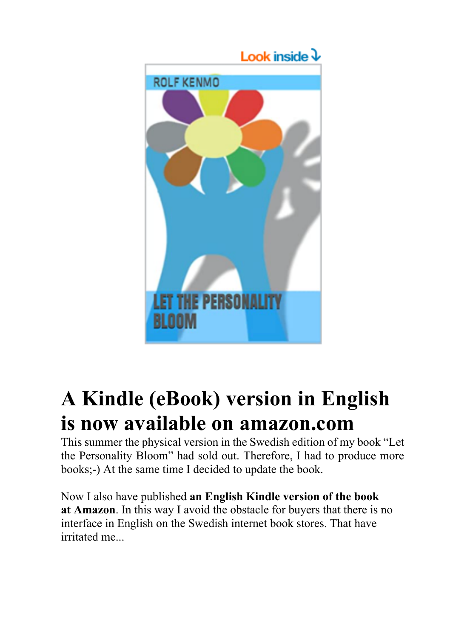

# **A Kindle (eBook) version in English is now available on amazon.com**

This summer the physical version in the Swedish edition of my book "Let the Personality Bloom" had sold out. Therefore, I had to produce more books;-) At the same time I decided to update the book.

Now I also have published **an English Kindle version of the book at Amazon**. In this way I avoid the obstacle for buyers that there is no interface in English on the Swedish internet book stores. That have irritated me...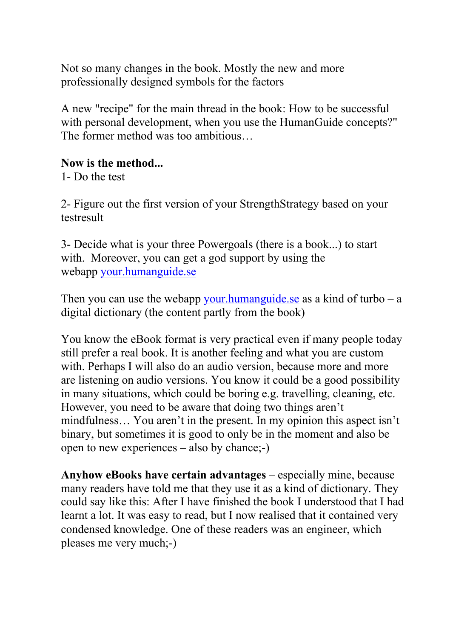Not so many changes in the book. Mostly the new and more professionally designed symbols for the factors

A new "recipe" for the main thread in the book: How to be successful with personal development, when you use the HumanGuide concepts?" The former method was too ambitious…

#### **Now is the method...**

1- Do the test

2- Figure out the first version of your StrengthStrategy based on your testresult

3- Decide what is your three Powergoals (there is a book...) to start with. Moreover, you can get a god support by using the webapp your.humanguide.se

Then you can use the webapp your.humanguide.se as a kind of turbo  $-$  a digital dictionary (the content partly from the book)

You know the eBook format is very practical even if many people today still prefer a real book. It is another feeling and what you are custom with. Perhaps I will also do an audio version, because more and more are listening on audio versions. You know it could be a good possibility in many situations, which could be boring e.g. travelling, cleaning, etc. However, you need to be aware that doing two things aren't mindfulness… You aren't in the present. In my opinion this aspect isn't binary, but sometimes it is good to only be in the moment and also be open to new experiences – also by chance;-)

**Anyhow eBooks have certain advantages** – especially mine, because many readers have told me that they use it as a kind of dictionary. They could say like this: After I have finished the book I understood that I had learnt a lot. It was easy to read, but I now realised that it contained very condensed knowledge. One of these readers was an engineer, which pleases me very much;-)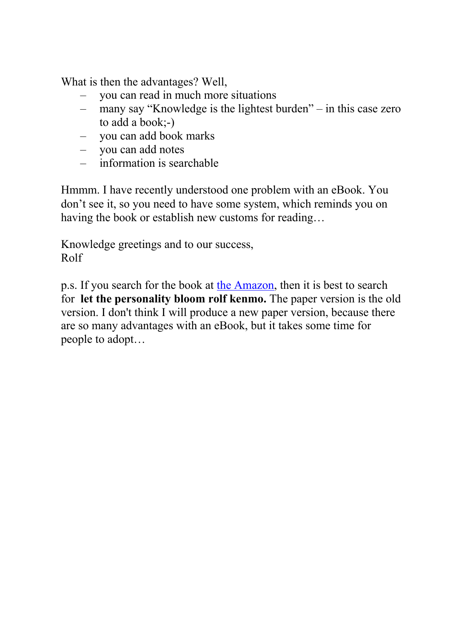What is then the advantages? Well,

- you can read in much more situations
- many say "Knowledge is the lightest burden" in this case zero to add a book;-)
- you can add book marks
- you can add notes
- information is searchable

Hmmm. I have recently understood one problem with an eBook. You don't see it, so you need to have some system, which reminds you on having the book or establish new customs for reading…

Knowledge greetings and to our success, Rolf

p.s. If you search for the book at the Amazon, then it is best to search for **let the personality bloom rolf kenmo.** The paper version is the old version. I don't think I will produce a new paper version, because there are so many advantages with an eBook, but it takes some time for people to adopt…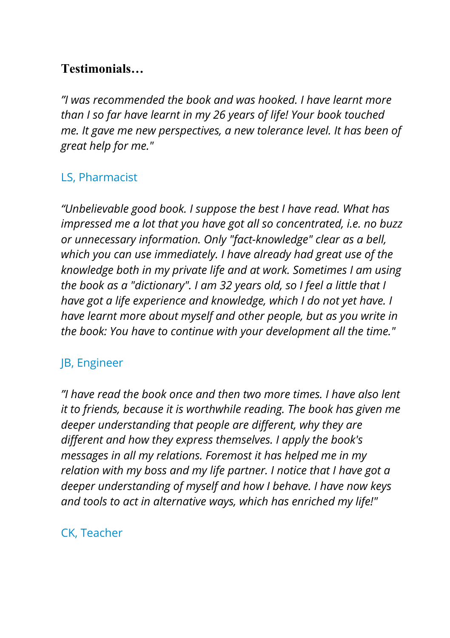## **Testimonials…**

*"I was recommended the book and was hooked. I have learnt more than I so far have learnt in my 26 years of life! Your book touched me. It gave me new perspectives, a new tolerance level. It has been of great help for me."*

#### LS, Pharmacist

*"Unbelievable good book. I suppose the best I have read. What has impressed me a lot that you have got all so concentrated, i.e. no buzz or unnecessary information. Only "fact-knowledge" clear as a bell, which you can use immediately. I have already had great use of the knowledge both in my private life and at work. Sometimes I am using the book as a "dictionary". I am 32 years old, so I feel a little that I have got a life experience and knowledge, which I do not yet have. I have learnt more about myself and other people, but as you write in the book: You have to continue with your development all the time."*

#### JB, Engineer

*"I have read the book once and then two more times. I have also lent it to friends, because it is worthwhile reading. The book has given me deeper understanding that people are different, why they are different and how they express themselves. I apply the book's messages in all my relations. Foremost it has helped me in my relation with my boss and my life partner. I notice that I have got a deeper understanding of myself and how I behave. I have now keys and tools to act in alternative ways, which has enriched my life!"*

#### CK, Teacher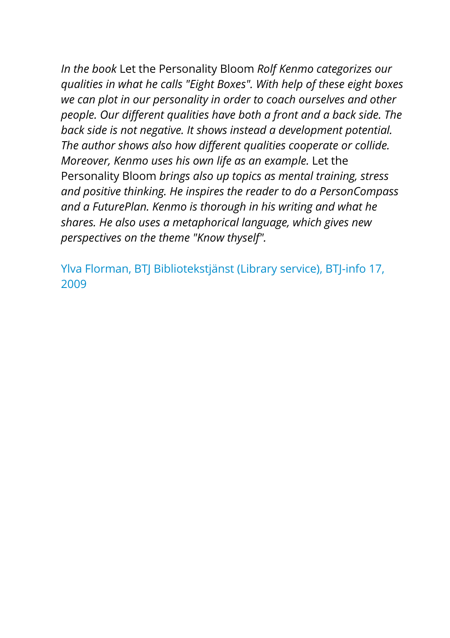*In the book* Let the Personality Bloom *Rolf Kenmo categorizes our qualities in what he calls "Eight Boxes". With help of these eight boxes we can plot in our personality in order to coach ourselves and other people. Our different qualities have both a front and a back side. The back side is not negative. It shows instead a development potential. The author shows also how different qualities cooperate or collide. Moreover, Kenmo uses his own life as an example.* Let the Personality Bloom *brings also up topics as mental training, stress and positive thinking. He inspires the reader to do a PersonCompass and a FuturePlan. Kenmo is thorough in his writing and what he shares. He also uses a metaphorical language, which gives new perspectives on the theme "Know thyself".*

Ylva Florman, BTJ Bibliotekstjänst (Library service), BTJ-info 17, 2009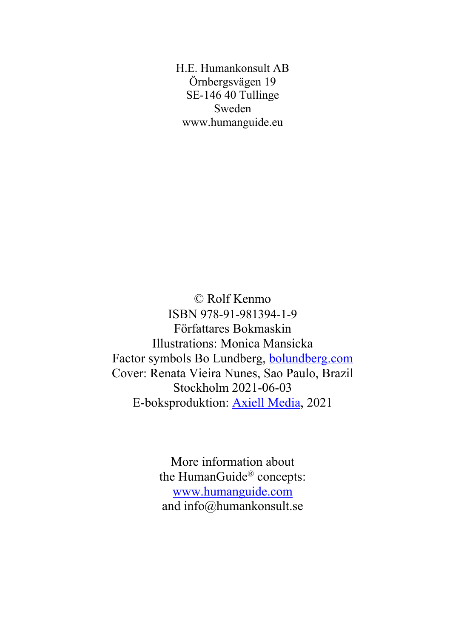H.E. Humankonsult AB Örnbergsvägen 19 SE-146 40 Tullinge Sweden www.humanguide.eu

© Rolf Kenmo ISBN 978-91-981394-1-9 Författares Bokmaskin Illustrations: Monica Mansicka Factor symbols Bo Lundberg, bolundberg.com Cover: Renata Vieira Nunes, Sao Paulo, Brazil Stockholm 2021-06-03 E-boksproduktion: Axiell Media, 2021

> More information about the HumanGuide® concepts: www.humanguide.com and info@humankonsult.se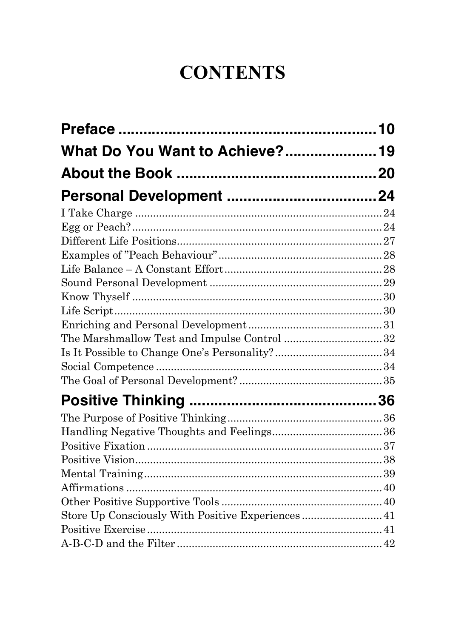## **CONTENTS**

| What Do You Want to Achieve? 19                    |  |
|----------------------------------------------------|--|
|                                                    |  |
|                                                    |  |
|                                                    |  |
|                                                    |  |
|                                                    |  |
|                                                    |  |
|                                                    |  |
|                                                    |  |
|                                                    |  |
|                                                    |  |
|                                                    |  |
| The Marshmallow Test and Impulse Control 32        |  |
|                                                    |  |
|                                                    |  |
|                                                    |  |
|                                                    |  |
|                                                    |  |
|                                                    |  |
|                                                    |  |
|                                                    |  |
|                                                    |  |
|                                                    |  |
|                                                    |  |
| Store Up Consciously With Positive Experiences  41 |  |
|                                                    |  |
|                                                    |  |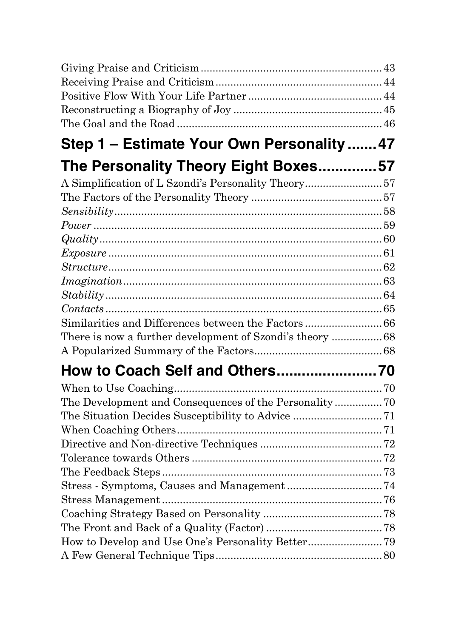| Step 1 - Estimate Your Own Personality  47               |  |
|----------------------------------------------------------|--|
| The Personality Theory Eight Boxes57                     |  |
| A Simplification of L Szondi's Personality Theory57      |  |
|                                                          |  |
|                                                          |  |
|                                                          |  |
|                                                          |  |
|                                                          |  |
|                                                          |  |
|                                                          |  |
|                                                          |  |
|                                                          |  |
|                                                          |  |
| There is now a further development of Szondi's theory 68 |  |
|                                                          |  |
| How to Coach Self and Others70                           |  |
|                                                          |  |
|                                                          |  |
|                                                          |  |
|                                                          |  |
|                                                          |  |
|                                                          |  |
|                                                          |  |
|                                                          |  |
|                                                          |  |
|                                                          |  |
|                                                          |  |
|                                                          |  |
|                                                          |  |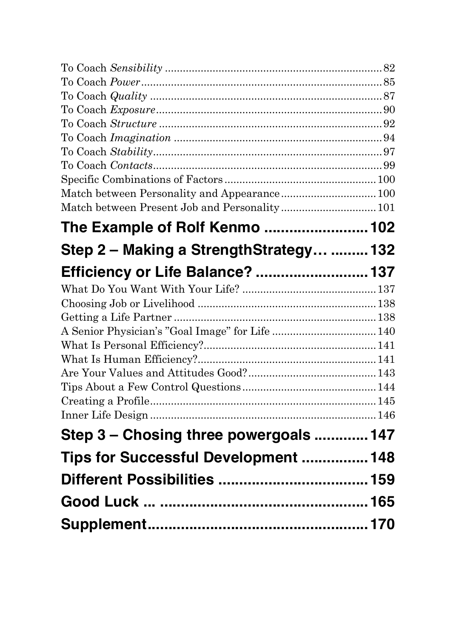| Match between Present Job and Personality 101 |  |
|-----------------------------------------------|--|
| The Example of Rolf Kenmo  102                |  |
| Step 2 - Making a StrengthStrategy  132       |  |
| Efficiency or Life Balance?  137              |  |
|                                               |  |
|                                               |  |
|                                               |  |
|                                               |  |
|                                               |  |
|                                               |  |
|                                               |  |
|                                               |  |
|                                               |  |
|                                               |  |
| Step 3 – Chosing three powergoals  147        |  |
| Tips for Successful Development  148          |  |
|                                               |  |
|                                               |  |
|                                               |  |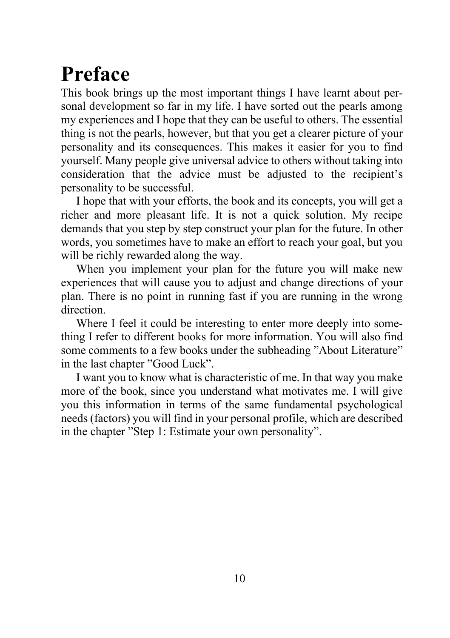# **Preface**

This book brings up the most important things I have learnt about personal development so far in my life. I have sorted out the pearls among my experiences and I hope that they can be useful to others. The essential thing is not the pearls, however, but that you get a clearer picture of your personality and its consequences. This makes it easier for you to find yourself. Many people give universal advice to others without taking into consideration that the advice must be adjusted to the recipient's personality to be successful.

I hope that with your efforts, the book and its concepts, you will get a richer and more pleasant life. It is not a quick solution. My recipe demands that you step by step construct your plan for the future. In other words, you sometimes have to make an effort to reach your goal, but you will be richly rewarded along the way.

When you implement your plan for the future you will make new experiences that will cause you to adjust and change directions of your plan. There is no point in running fast if you are running in the wrong direction.

Where I feel it could be interesting to enter more deeply into something I refer to different books for more information. You will also find some comments to a few books under the subheading "About Literature" in the last chapter "Good Luck".

I want you to know what is characteristic of me. In that way you make more of the book, since you understand what motivates me. I will give you this information in terms of the same fundamental psychological needs (factors) you will find in your personal profile, which are described in the chapter "Step 1: Estimate your own personality".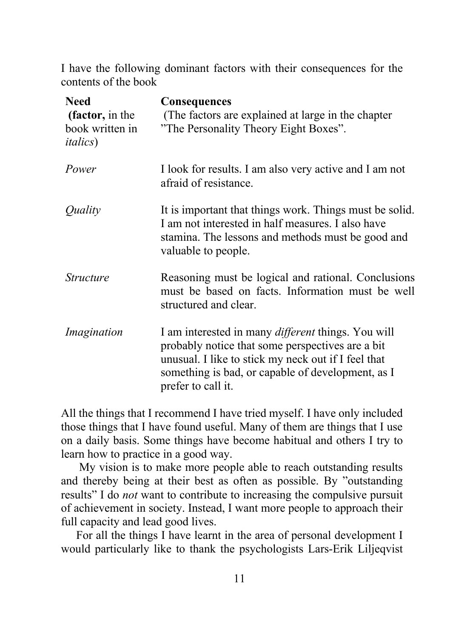I have the following dominant factors with their consequences for the contents of the book

| <b>Need</b><br>(factor, in the<br>book written in<br><i>italics</i> ) | Consequences<br>(The factors are explained at large in the chapter)<br>"The Personality Theory Eight Boxes".                                                                                                                                    |
|-----------------------------------------------------------------------|-------------------------------------------------------------------------------------------------------------------------------------------------------------------------------------------------------------------------------------------------|
| Power                                                                 | I look for results. I am also very active and I am not<br>afraid of resistance.                                                                                                                                                                 |
| Quality                                                               | It is important that things work. Things must be solid.<br>I am not interested in half measures. I also have<br>stamina. The lessons and methods must be good and<br>valuable to people.                                                        |
| <i>Structure</i>                                                      | Reasoning must be logical and rational. Conclusions<br>must be based on facts. Information must be well<br>structured and clear.                                                                                                                |
| Imagination                                                           | I am interested in many <i>different</i> things. You will<br>probably notice that some perspectives are a bit<br>unusual. I like to stick my neck out if I feel that<br>something is bad, or capable of development, as I<br>prefer to call it. |

All the things that I recommend I have tried myself. I have only included those things that I have found useful. Many of them are things that I use on a daily basis. Some things have become habitual and others I try to learn how to practice in a good way.

My vision is to make more people able to reach outstanding results and thereby being at their best as often as possible. By "outstanding results" I do *not* want to contribute to increasing the compulsive pursuit of achievement in society. Instead, I want more people to approach their full capacity and lead good lives.

For all the things I have learnt in the area of personal development I would particularly like to thank the psychologists Lars-Erik Liljeqvist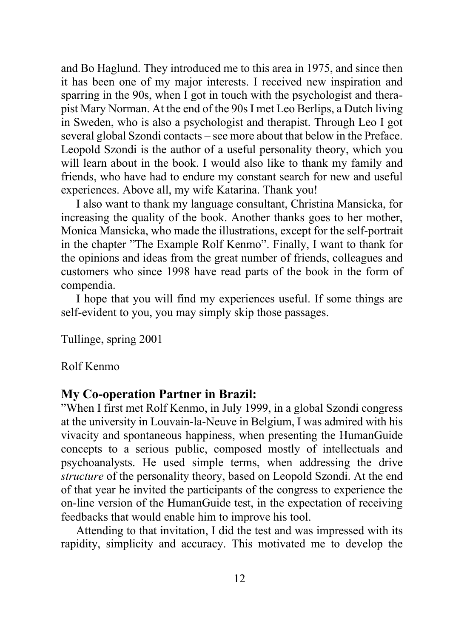and Bo Haglund. They introduced me to this area in 1975, and since then it has been one of my major interests. I received new inspiration and sparring in the 90s, when I got in touch with the psychologist and therapist Mary Norman. At the end of the 90s I met Leo Berlips, a Dutch living in Sweden, who is also a psychologist and therapist. Through Leo I got several global Szondi contacts – see more about that below in the Preface. Leopold Szondi is the author of a useful personality theory, which you will learn about in the book. I would also like to thank my family and friends, who have had to endure my constant search for new and useful experiences. Above all, my wife Katarina. Thank you!

I also want to thank my language consultant, Christina Mansicka, for increasing the quality of the book. Another thanks goes to her mother, Monica Mansicka, who made the illustrations, except for the self-portrait in the chapter "The Example Rolf Kenmo". Finally, I want to thank for the opinions and ideas from the great number of friends, colleagues and customers who since 1998 have read parts of the book in the form of compendia.

I hope that you will find my experiences useful. If some things are self-evident to you, you may simply skip those passages.

Tullinge, spring 2001

#### Rolf Kenmo

#### **My Co-operation Partner in Brazil:**

"When I first met Rolf Kenmo, in July 1999, in a global Szondi congress at the university in Louvain-la-Neuve in Belgium, I was admired with his vivacity and spontaneous happiness, when presenting the HumanGuide concepts to a serious public, composed mostly of intellectuals and psychoanalysts. He used simple terms, when addressing the drive *structure* of the personality theory, based on Leopold Szondi. At the end of that year he invited the participants of the congress to experience the on-line version of the HumanGuide test, in the expectation of receiving feedbacks that would enable him to improve his tool.

Attending to that invitation, I did the test and was impressed with its rapidity, simplicity and accuracy. This motivated me to develop the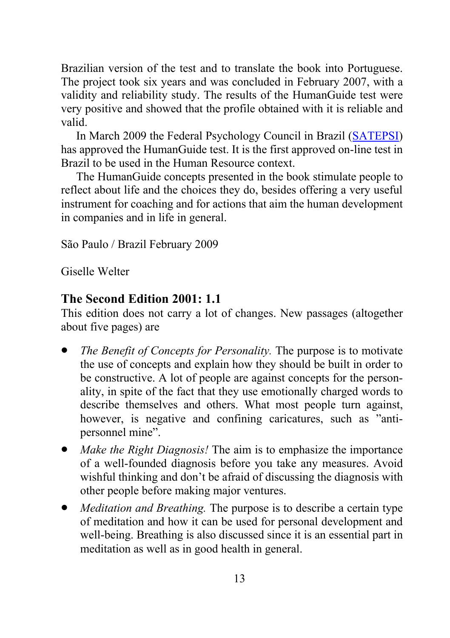Brazilian version of the test and to translate the book into Portuguese. The project took six years and was concluded in February 2007, with a validity and reliability study. The results of the HumanGuide test were very positive and showed that the profile obtained with it is reliable and valid.

In March 2009 the Federal Psychology Council in Brazil (SATEPSI) has approved the HumanGuide test. It is the first approved on-line test in Brazil to be used in the Human Resource context.

The HumanGuide concepts presented in the book stimulate people to reflect about life and the choices they do, besides offering a very useful instrument for coaching and for actions that aim the human development in companies and in life in general.

São Paulo / Brazil February 2009

Giselle Welter

#### **The Second Edition 2001: 1.1**

This edition does not carry a lot of changes. New passages (altogether about five pages) are

- *The Benefit of Concepts for Personality.* The purpose is to motivate the use of concepts and explain how they should be built in order to be constructive. A lot of people are against concepts for the personality, in spite of the fact that they use emotionally charged words to describe themselves and others. What most people turn against, however, is negative and confining caricatures, such as "antipersonnel mine".
- *Make the Right Diagnosis!* The aim is to emphasize the importance of a well-founded diagnosis before you take any measures. Avoid wishful thinking and don't be afraid of discussing the diagnosis with other people before making major ventures.
- *Meditation and Breathing.* The purpose is to describe a certain type of meditation and how it can be used for personal development and well-being. Breathing is also discussed since it is an essential part in meditation as well as in good health in general.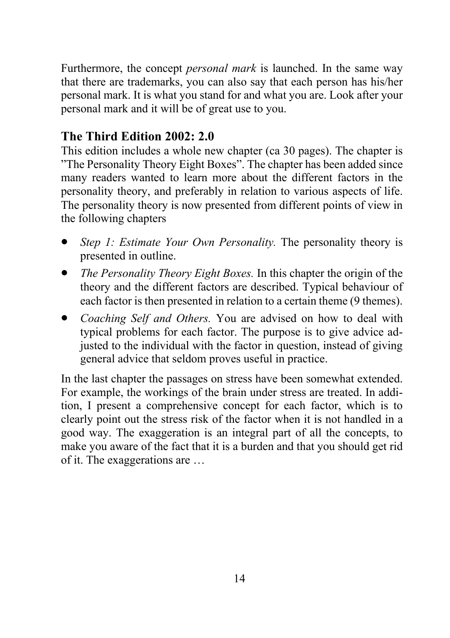Furthermore, the concept *personal mark* is launched. In the same way that there are trademarks, you can also say that each person has his/her personal mark. It is what you stand for and what you are. Look after your personal mark and it will be of great use to you.

#### **The Third Edition 2002: 2.0**

This edition includes a whole new chapter (ca 30 pages). The chapter is "The Personality Theory Eight Boxes". The chapter has been added since many readers wanted to learn more about the different factors in the personality theory, and preferably in relation to various aspects of life. The personality theory is now presented from different points of view in the following chapters

- *Step 1: Estimate Your Own Personality.* The personality theory is presented in outline.
- *The Personality Theory Eight Boxes.* In this chapter the origin of the theory and the different factors are described. Typical behaviour of each factor is then presented in relation to a certain theme (9 themes).
- *Coaching Self and Others.* You are advised on how to deal with typical problems for each factor. The purpose is to give advice adjusted to the individual with the factor in question, instead of giving general advice that seldom proves useful in practice.

In the last chapter the passages on stress have been somewhat extended. For example, the workings of the brain under stress are treated. In addition, I present a comprehensive concept for each factor, which is to clearly point out the stress risk of the factor when it is not handled in a good way. The exaggeration is an integral part of all the concepts, to make you aware of the fact that it is a burden and that you should get rid of it. The exaggerations are …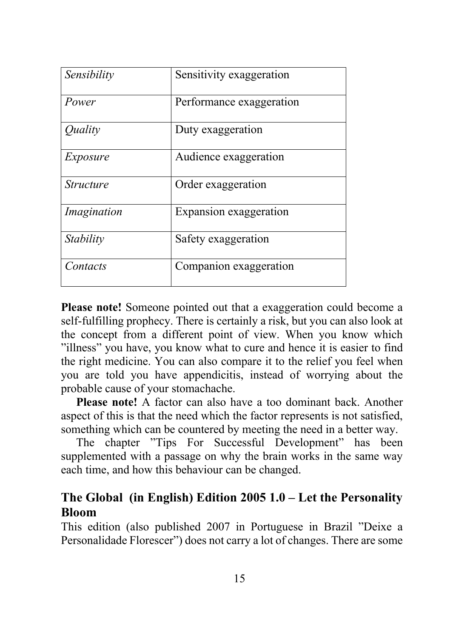| Sensibility      | Sensitivity exaggeration |
|------------------|--------------------------|
| Power            | Performance exaggeration |
| Quality          | Duty exaggeration        |
| Exposure         | Audience exaggeration    |
| <i>Structure</i> | Order exaggeration       |
| Imagination      | Expansion exaggeration   |
| Stability        | Safety exaggeration      |
| Contacts         | Companion exaggeration   |

**Please note!** Someone pointed out that a exaggeration could become a self-fulfilling prophecy. There is certainly a risk, but you can also look at the concept from a different point of view. When you know which "illness" you have, you know what to cure and hence it is easier to find the right medicine. You can also compare it to the relief you feel when you are told you have appendicitis, instead of worrying about the probable cause of your stomachache.

**Please note!** A factor can also have a too dominant back. Another aspect of this is that the need which the factor represents is not satisfied, something which can be countered by meeting the need in a better way.

The chapter "Tips For Successful Development" has been supplemented with a passage on why the brain works in the same way each time, and how this behaviour can be changed.

#### **The Global (in English) Edition 2005 1.0 – Let the Personality Bloom**

This edition (also published 2007 in Portuguese in Brazil "Deixe a Personalidade Florescer") does not carry a lot of changes. There are some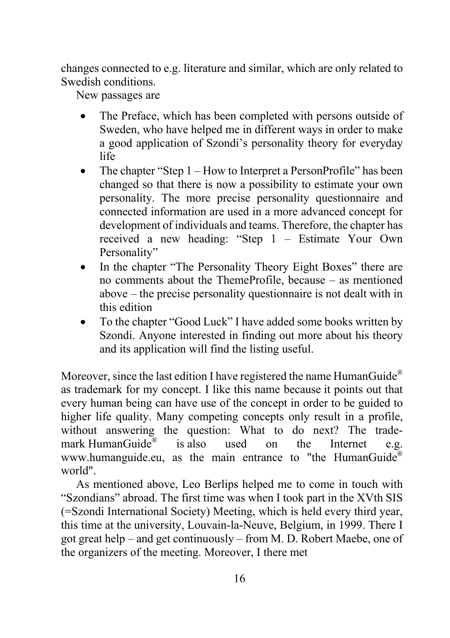changes connected to e.g. literature and similar, which are only related to Swedish conditions.

New passages are

- The Preface, which has been completed with persons outside of Sweden, who have helped me in different ways in order to make a good application of Szondi's personality theory for everyday life
- The chapter "Step 1 How to Interpret a PersonProfile" has been changed so that there is now a possibility to estimate your own personality. The more precise personality questionnaire and connected information are used in a more advanced concept for development of individuals and teams. Therefore, the chapter has received a new heading: "Step 1 – Estimate Your Own Personality"
- In the chapter "The Personality Theory Eight Boxes" there are no comments about the ThemeProfile, because – as mentioned above – the precise personality questionnaire is not dealt with in this edition
- To the chapter "Good Luck" I have added some books written by Szondi. Anyone interested in finding out more about his theory and its application will find the listing useful.

Moreover, since the last edition I have registered the name HumanGuide<sup>®</sup> as trademark for my concept. I like this name because it points out that every human being can have use of the concept in order to be guided to higher life quality. Many competing concepts only result in a profile, without answering the question: What to do next? The trademark HumanGuide<sup>®</sup> is also used on the Internet e.g. www.humanguide.eu, as the main entrance to "the HumanGuide® world".

As mentioned above, Leo Berlips helped me to come in touch with "Szondians" abroad. The first time was when I took part in the XVth SIS (=Szondi International Society) Meeting, which is held every third year, this time at the university, Louvain-la-Neuve, Belgium, in 1999. There I got great help – and get continuously – from M. D. Robert Maebe, one of the organizers of the meeting. Moreover, I there met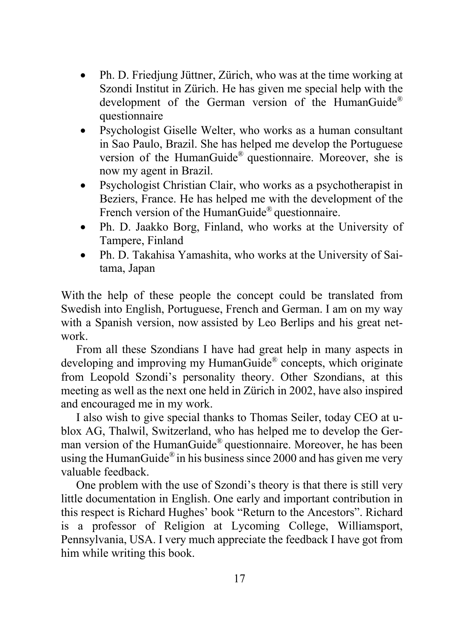- Ph. D. Friedjung Jüttner, Zürich, who was at the time working at Szondi Institut in Zürich. He has given me special help with the development of the German version of the HumanGuide® questionnaire
- Psychologist Giselle Welter, who works as a human consultant in Sao Paulo, Brazil. She has helped me develop the Portuguese version of the HumanGuide® questionnaire. Moreover, she is now my agent in Brazil.
- Psychologist Christian Clair, who works as a psychotherapist in Beziers, France. He has helped me with the development of the French version of the HumanGuide® questionnaire.
- Ph. D. Jaakko Borg, Finland, who works at the University of Tampere, Finland
- Ph. D. Takahisa Yamashita, who works at the University of Saitama, Japan

With the help of these people the concept could be translated from Swedish into English, Portuguese, French and German. I am on my way with a Spanish version, now assisted by Leo Berlips and his great network.

From all these Szondians I have had great help in many aspects in developing and improving my HumanGuide® concepts, which originate from Leopold Szondi's personality theory. Other Szondians, at this meeting as well as the next one held in Zürich in 2002, have also inspired and encouraged me in my work.

I also wish to give special thanks to Thomas Seiler, today CEO at ublox AG, Thalwil, Switzerland, who has helped me to develop the German version of the HumanGuide® questionnaire. Moreover, he has been using the HumanGuide<sup>®</sup> in his business since 2000 and has given me very valuable feedback.

One problem with the use of Szondi's theory is that there is still very little documentation in English. One early and important contribution in this respect is Richard Hughes' book "Return to the Ancestors". Richard is a professor of Religion at Lycoming College, Williamsport, Pennsylvania, USA. I very much appreciate the feedback I have got from him while writing this book.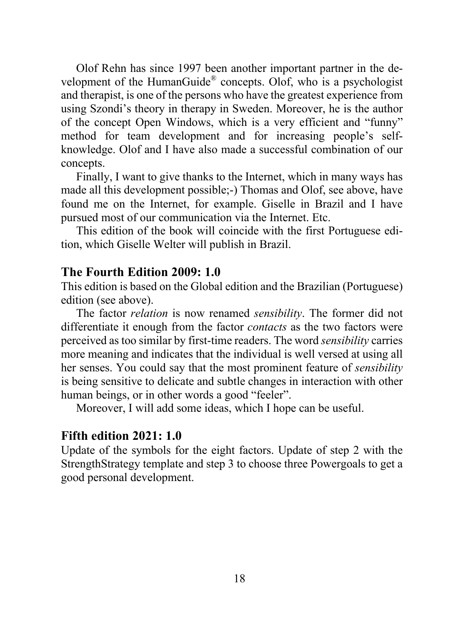Olof Rehn has since 1997 been another important partner in the development of the HumanGuide® concepts. Olof, who is a psychologist and therapist, is one of the persons who have the greatest experience from using Szondi's theory in therapy in Sweden. Moreover, he is the author of the concept Open Windows, which is a very efficient and "funny" method for team development and for increasing people's selfknowledge. Olof and I have also made a successful combination of our concepts.

Finally, I want to give thanks to the Internet, which in many ways has made all this development possible;-) Thomas and Olof, see above, have found me on the Internet, for example. Giselle in Brazil and I have pursued most of our communication via the Internet. Etc.

This edition of the book will coincide with the first Portuguese edition, which Giselle Welter will publish in Brazil.

#### **The Fourth Edition 2009: 1.0**

This edition is based on the Global edition and the Brazilian (Portuguese) edition (see above).

The factor *relation* is now renamed *sensibility*. The former did not differentiate it enough from the factor *contacts* as the two factors were perceived as too similar by first-time readers. The word *sensibility* carries more meaning and indicates that the individual is well versed at using all her senses. You could say that the most prominent feature of *sensibility* is being sensitive to delicate and subtle changes in interaction with other human beings, or in other words a good "feeler".

Moreover, I will add some ideas, which I hope can be useful.

#### **Fifth edition 2021: 1.0**

Update of the symbols for the eight factors. Update of step 2 with the StrengthStrategy template and step 3 to choose three Powergoals to get a good personal development.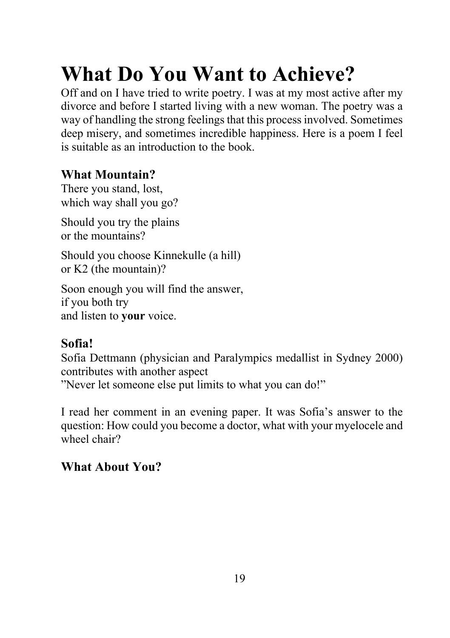# **What Do You Want to Achieve?**

Off and on I have tried to write poetry. I was at my most active after my divorce and before I started living with a new woman. The poetry was a way of handling the strong feelings that this process involved. Sometimes deep misery, and sometimes incredible happiness. Here is a poem I feel is suitable as an introduction to the book.

#### **What Mountain?**

There you stand, lost, which way shall you go?

Should you try the plains or the mountains?

Should you choose Kinnekulle (a hill) or K2 (the mountain)?

Soon enough you will find the answer, if you both try and listen to **your** voice.

#### **Sofia!**

Sofia Dettmann (physician and Paralympics medallist in Sydney 2000) contributes with another aspect "Never let someone else put limits to what you can do!"

I read her comment in an evening paper. It was Sofia's answer to the question: How could you become a doctor, what with your myelocele and wheel chair?

#### **What About You?**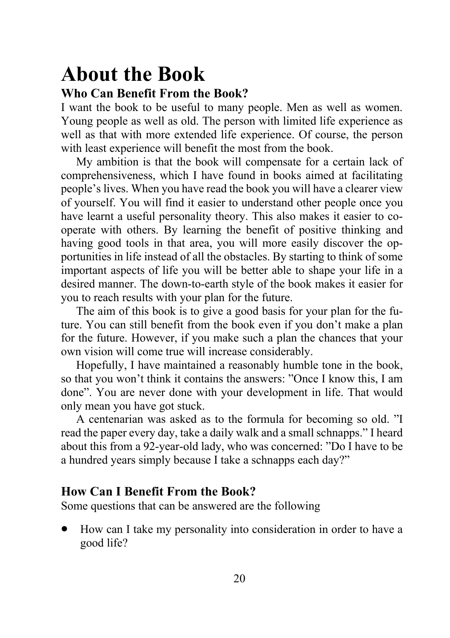## **About the Book Who Can Benefit From the Book?**

I want the book to be useful to many people. Men as well as women. Young people as well as old. The person with limited life experience as well as that with more extended life experience. Of course, the person with least experience will benefit the most from the book.

My ambition is that the book will compensate for a certain lack of comprehensiveness, which I have found in books aimed at facilitating people's lives. When you have read the book you will have a clearer view of yourself. You will find it easier to understand other people once you have learnt a useful personality theory. This also makes it easier to cooperate with others. By learning the benefit of positive thinking and having good tools in that area, you will more easily discover the opportunities in life instead of all the obstacles. By starting to think of some important aspects of life you will be better able to shape your life in a desired manner. The down-to-earth style of the book makes it easier for you to reach results with your plan for the future.

The aim of this book is to give a good basis for your plan for the future. You can still benefit from the book even if you don't make a plan for the future. However, if you make such a plan the chances that your own vision will come true will increase considerably.

Hopefully, I have maintained a reasonably humble tone in the book, so that you won't think it contains the answers: "Once I know this, I am done". You are never done with your development in life. That would only mean you have got stuck.

A centenarian was asked as to the formula for becoming so old. "I read the paper every day, take a daily walk and a small schnapps." I heard about this from a 92-year-old lady, who was concerned: "Do I have to be a hundred years simply because I take a schnapps each day?"

#### **How Can I Benefit From the Book?**

Some questions that can be answered are the following

• How can I take my personality into consideration in order to have a good life?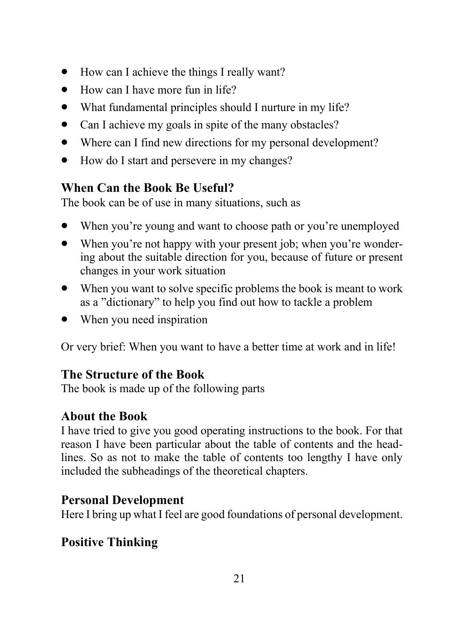- How can I achieve the things I really want?
- How can I have more fun in life?
- What fundamental principles should I nurture in my life?
- Can I achieve my goals in spite of the many obstacles?
- Where can I find new directions for my personal development?
- How do I start and persevere in my changes?

#### **When Can the Book Be Useful?**

The book can be of use in many situations, such as

- When you're young and want to choose path or you're unemployed
- When you're not happy with your present job; when you're wondering about the suitable direction for you, because of future or present changes in your work situation
- When you want to solve specific problems the book is meant to work as a "dictionary" to help you find out how to tackle a problem
- When you need inspiration

Or very brief: When you want to have a better time at work and in life!

#### **The Structure of the Book**

The book is made up of the following parts

#### **About the Book**

I have tried to give you good operating instructions to the book. For that reason I have been particular about the table of contents and the headlines. So as not to make the table of contents too lengthy I have only included the subheadings of the theoretical chapters.

#### **Personal Development**

Here I bring up what I feel are good foundations of personal development.

## **Positive Thinking**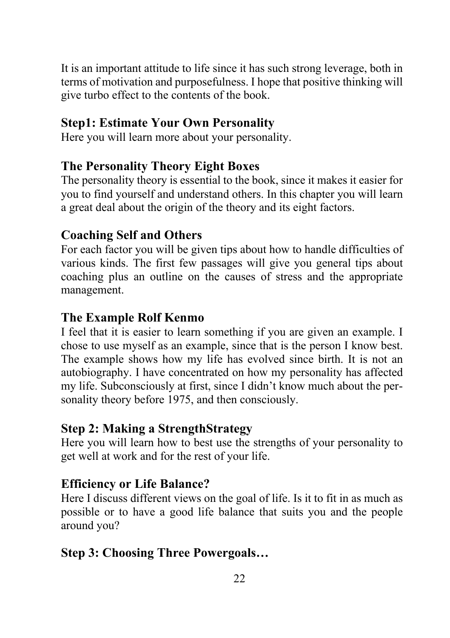It is an important attitude to life since it has such strong leverage, both in terms of motivation and purposefulness. I hope that positive thinking will give turbo effect to the contents of the book.

#### **Step1: Estimate Your Own Personality**

Here you will learn more about your personality.

#### **The Personality Theory Eight Boxes**

The personality theory is essential to the book, since it makes it easier for you to find yourself and understand others. In this chapter you will learn a great deal about the origin of the theory and its eight factors.

#### **Coaching Self and Others**

For each factor you will be given tips about how to handle difficulties of various kinds. The first few passages will give you general tips about coaching plus an outline on the causes of stress and the appropriate management.

#### **The Example Rolf Kenmo**

I feel that it is easier to learn something if you are given an example. I chose to use myself as an example, since that is the person I know best. The example shows how my life has evolved since birth. It is not an autobiography. I have concentrated on how my personality has affected my life. Subconsciously at first, since I didn't know much about the personality theory before 1975, and then consciously.

#### **Step 2: Making a StrengthStrategy**

Here you will learn how to best use the strengths of your personality to get well at work and for the rest of your life.

#### **Efficiency or Life Balance?**

Here I discuss different views on the goal of life. Is it to fit in as much as possible or to have a good life balance that suits you and the people around you?

#### **Step 3: Choosing Three Powergoals…**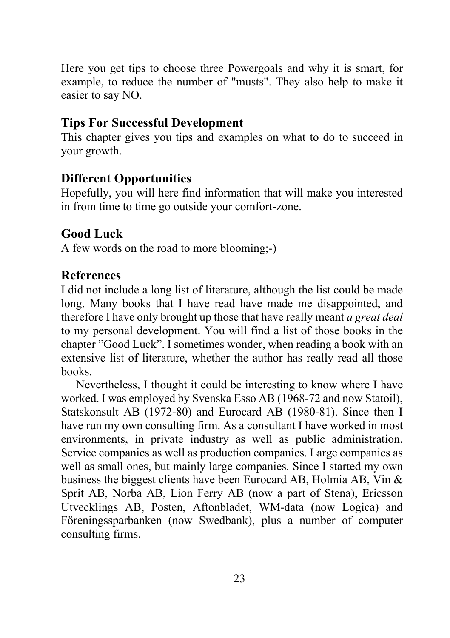Here you get tips to choose three Powergoals and why it is smart, for example, to reduce the number of "musts". They also help to make it easier to say NO.

#### **Tips For Successful Development**

This chapter gives you tips and examples on what to do to succeed in your growth.

#### **Different Opportunities**

Hopefully, you will here find information that will make you interested in from time to time go outside your comfort-zone.

#### **Good Luck**

A few words on the road to more blooming;-)

#### **References**

I did not include a long list of literature, although the list could be made long. Many books that I have read have made me disappointed, and therefore I have only brought up those that have really meant *a great deal* to my personal development. You will find a list of those books in the chapter "Good Luck". I sometimes wonder, when reading a book with an extensive list of literature, whether the author has really read all those books.

Nevertheless, I thought it could be interesting to know where I have worked. I was employed by Svenska Esso AB (1968-72 and now Statoil), Statskonsult AB (1972-80) and Eurocard AB (1980-81). Since then I have run my own consulting firm. As a consultant I have worked in most environments, in private industry as well as public administration. Service companies as well as production companies. Large companies as well as small ones, but mainly large companies. Since I started my own business the biggest clients have been Eurocard AB, Holmia AB, Vin & Sprit AB, Norba AB, Lion Ferry AB (now a part of Stena), Ericsson Utvecklings AB, Posten, Aftonbladet, WM-data (now Logica) and Föreningssparbanken (now Swedbank), plus a number of computer consulting firms.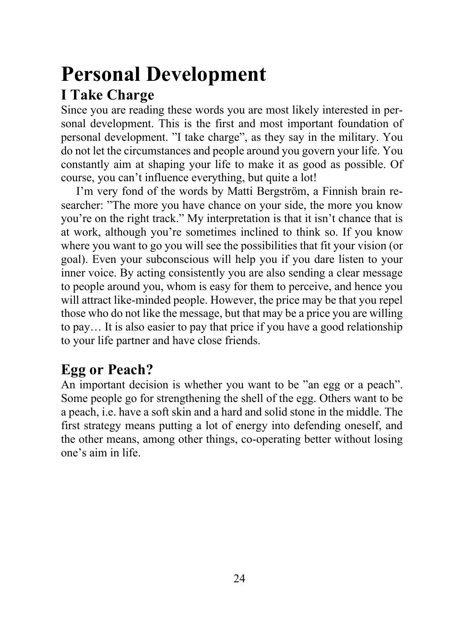# **Personal Development**

## **I Take Charge**

Since you are reading these words you are most likely interested in personal development. This is the first and most important foundation of personal development. "I take charge", as they say in the military. You do not let the circumstances and people around you govern your life. You constantly aim at shaping your life to make it as good as possible. Of course, you can't influence everything, but quite a lot!

I'm very fond of the words by Matti Bergström, a Finnish brain researcher: "The more you have chance on your side, the more you know you're on the right track." My interpretation is that it isn't chance that is at work, although you're sometimes inclined to think so. If you know where you want to go you will see the possibilities that fit your vision (or goal). Even your subconscious will help you if you dare listen to your inner voice. By acting consistently you are also sending a clear message to people around you, whom is easy for them to perceive, and hence you will attract like-minded people. However, the price may be that you repel those who do not like the message, but that may be a price you are willing to pay… It is also easier to pay that price if you have a good relationship to your life partner and have close friends.

## **Egg or Peach?**

An important decision is whether you want to be "an egg or a peach". Some people go for strengthening the shell of the egg. Others want to be a peach, i.e. have a soft skin and a hard and solid stone in the middle. The first strategy means putting a lot of energy into defending oneself, and the other means, among other things, co-operating better without losing one's aim in life.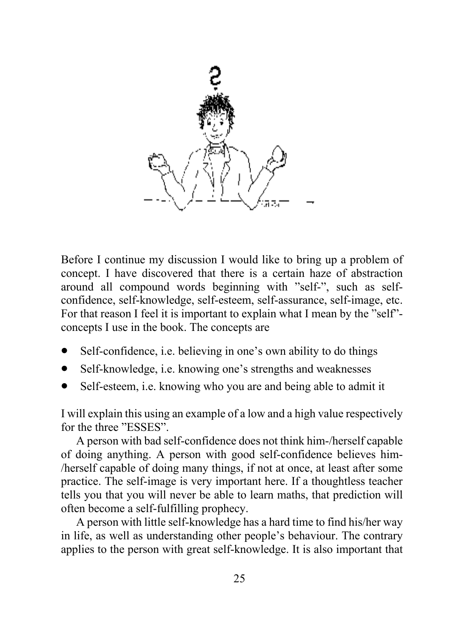

Before I continue my discussion I would like to bring up a problem of concept. I have discovered that there is a certain haze of abstraction around all compound words beginning with "self-", such as selfconfidence, self-knowledge, self-esteem, self-assurance, self-image, etc. For that reason I feel it is important to explain what I mean by the "self" concepts I use in the book. The concepts are

- Self-confidence, i.e. believing in one's own ability to do things
- Self-knowledge, *i.e.* knowing one's strengths and weaknesses
- Self-esteem, *i.e.* knowing who you are and being able to admit it

I will explain this using an example of a low and a high value respectively for the three "ESSES".

A person with bad self-confidence does not think him-/herself capable of doing anything. A person with good self-confidence believes him- /herself capable of doing many things, if not at once, at least after some practice. The self-image is very important here. If a thoughtless teacher tells you that you will never be able to learn maths, that prediction will often become a self-fulfilling prophecy.

A person with little self-knowledge has a hard time to find his/her way in life, as well as understanding other people's behaviour. The contrary applies to the person with great self-knowledge. It is also important that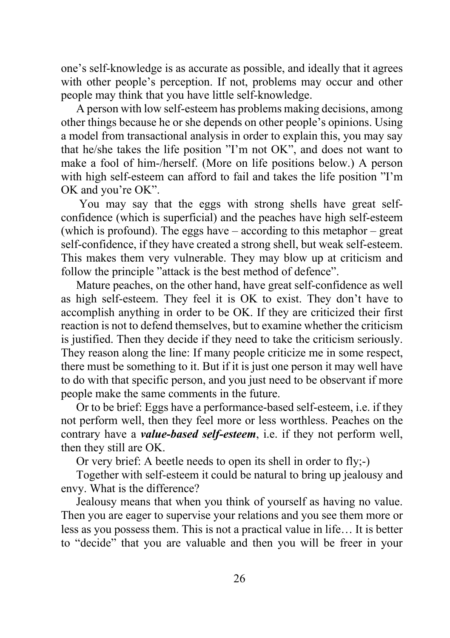one's self-knowledge is as accurate as possible, and ideally that it agrees with other people's perception. If not, problems may occur and other people may think that you have little self-knowledge.

A person with low self-esteem has problems making decisions, among other things because he or she depends on other people's opinions. Using a model from transactional analysis in order to explain this, you may say that he/she takes the life position "I'm not OK", and does not want to make a fool of him-/herself. (More on life positions below.) A person with high self-esteem can afford to fail and takes the life position "I'm OK and you're OK".

You may say that the eggs with strong shells have great selfconfidence (which is superficial) and the peaches have high self-esteem (which is profound). The eggs have – according to this metaphor – great self-confidence, if they have created a strong shell, but weak self-esteem. This makes them very vulnerable. They may blow up at criticism and follow the principle "attack is the best method of defence".

Mature peaches, on the other hand, have great self-confidence as well as high self-esteem. They feel it is OK to exist. They don't have to accomplish anything in order to be OK. If they are criticized their first reaction is not to defend themselves, but to examine whether the criticism is justified. Then they decide if they need to take the criticism seriously. They reason along the line: If many people criticize me in some respect, there must be something to it. But if it is just one person it may well have to do with that specific person, and you just need to be observant if more people make the same comments in the future.

Or to be brief: Eggs have a performance-based self-esteem, i.e. if they not perform well, then they feel more or less worthless. Peaches on the contrary have a *value-based self-esteem*, i.e. if they not perform well, then they still are OK.

Or very brief: A beetle needs to open its shell in order to fly;-)

Together with self-esteem it could be natural to bring up jealousy and envy. What is the difference?

Jealousy means that when you think of yourself as having no value. Then you are eager to supervise your relations and you see them more or less as you possess them. This is not a practical value in life… It is better to "decide" that you are valuable and then you will be freer in your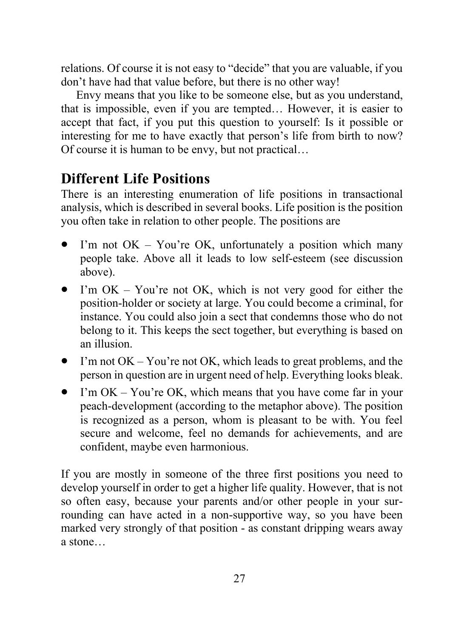relations. Of course it is not easy to "decide" that you are valuable, if you don't have had that value before, but there is no other way!

Envy means that you like to be someone else, but as you understand, that is impossible, even if you are tempted… However, it is easier to accept that fact, if you put this question to yourself: Is it possible or interesting for me to have exactly that person's life from birth to now? Of course it is human to be envy, but not practical…

## **Different Life Positions**

There is an interesting enumeration of life positions in transactional analysis, which is described in several books. Life position is the position you often take in relation to other people. The positions are

- I'm not  $OK You're OK$ , unfortunately a position which many people take. Above all it leads to low self-esteem (see discussion above).
- I'm OK You're not OK, which is not very good for either the position-holder or society at large. You could become a criminal, for instance. You could also join a sect that condemns those who do not belong to it. This keeps the sect together, but everything is based on an illusion.
- I'm not  $OK You'$ re not OK, which leads to great problems, and the person in question are in urgent need of help. Everything looks bleak.
- I'm OK You're OK, which means that you have come far in your peach-development (according to the metaphor above). The position is recognized as a person, whom is pleasant to be with. You feel secure and welcome, feel no demands for achievements, and are confident, maybe even harmonious.

If you are mostly in someone of the three first positions you need to develop yourself in order to get a higher life quality. However, that is not so often easy, because your parents and/or other people in your surrounding can have acted in a non-supportive way, so you have been marked very strongly of that position - as constant dripping wears away a stone…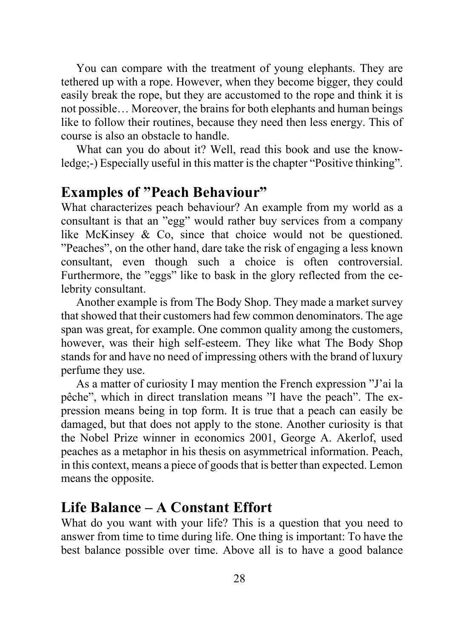You can compare with the treatment of young elephants. They are tethered up with a rope. However, when they become bigger, they could easily break the rope, but they are accustomed to the rope and think it is not possible… Moreover, the brains for both elephants and human beings like to follow their routines, because they need then less energy. This of course is also an obstacle to handle.

What can you do about it? Well, read this book and use the knowledge;-) Especially useful in this matter is the chapter "Positive thinking".

## **Examples of "Peach Behaviour"**

What characterizes peach behaviour? An example from my world as a consultant is that an "egg" would rather buy services from a company like McKinsey & Co, since that choice would not be questioned. "Peaches", on the other hand, dare take the risk of engaging a less known consultant, even though such a choice is often controversial. Furthermore, the "eggs" like to bask in the glory reflected from the celebrity consultant.

Another example is from The Body Shop. They made a market survey that showed that their customers had few common denominators. The age span was great, for example. One common quality among the customers, however, was their high self-esteem. They like what The Body Shop stands for and have no need of impressing others with the brand of luxury perfume they use.

As a matter of curiosity I may mention the French expression "J'ai la pêche", which in direct translation means "I have the peach". The expression means being in top form. It is true that a peach can easily be damaged, but that does not apply to the stone. Another curiosity is that the Nobel Prize winner in economics 2001, George A. Akerlof, used peaches as a metaphor in his thesis on asymmetrical information. Peach, in this context, means a piece of goods that is better than expected. Lemon means the opposite.

#### **Life Balance – A Constant Effort**

What do you want with your life? This is a question that you need to answer from time to time during life. One thing is important: To have the best balance possible over time. Above all is to have a good balance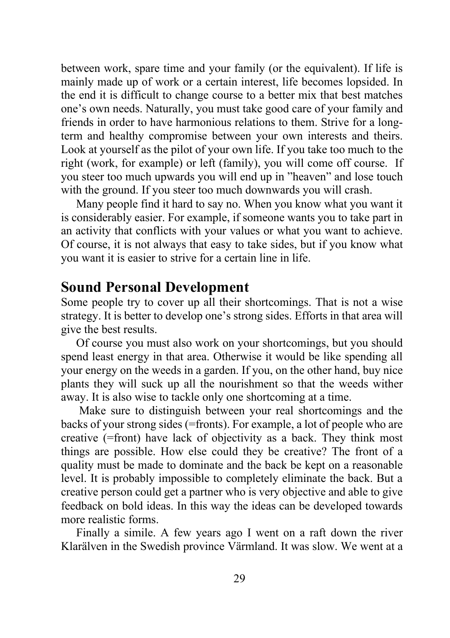between work, spare time and your family (or the equivalent). If life is mainly made up of work or a certain interest, life becomes lopsided. In the end it is difficult to change course to a better mix that best matches one's own needs. Naturally, you must take good care of your family and friends in order to have harmonious relations to them. Strive for a longterm and healthy compromise between your own interests and theirs. Look at yourself as the pilot of your own life. If you take too much to the right (work, for example) or left (family), you will come off course. If you steer too much upwards you will end up in "heaven" and lose touch with the ground. If you steer too much downwards you will crash.

Many people find it hard to say no. When you know what you want it is considerably easier. For example, if someone wants you to take part in an activity that conflicts with your values or what you want to achieve. Of course, it is not always that easy to take sides, but if you know what you want it is easier to strive for a certain line in life.

#### **Sound Personal Development**

Some people try to cover up all their shortcomings. That is not a wise strategy. It is better to develop one's strong sides. Efforts in that area will give the best results.

Of course you must also work on your shortcomings, but you should spend least energy in that area. Otherwise it would be like spending all your energy on the weeds in a garden. If you, on the other hand, buy nice plants they will suck up all the nourishment so that the weeds wither away. It is also wise to tackle only one shortcoming at a time.

Make sure to distinguish between your real shortcomings and the backs of your strong sides (=fronts). For example, a lot of people who are creative (=front) have lack of objectivity as a back. They think most things are possible. How else could they be creative? The front of a quality must be made to dominate and the back be kept on a reasonable level. It is probably impossible to completely eliminate the back. But a creative person could get a partner who is very objective and able to give feedback on bold ideas. In this way the ideas can be developed towards more realistic forms.

Finally a simile. A few years ago I went on a raft down the river Klarälven in the Swedish province Värmland. It was slow. We went at a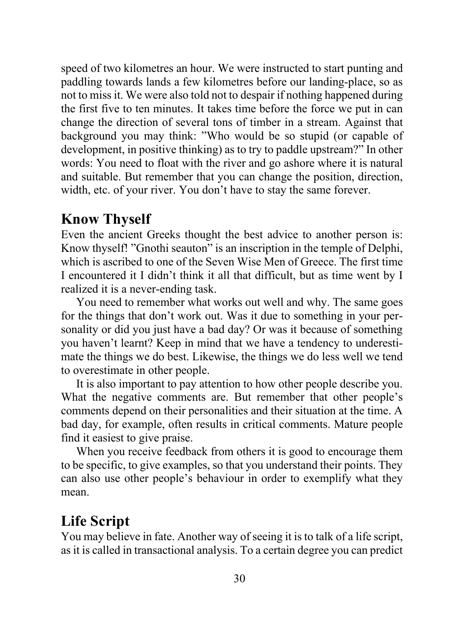speed of two kilometres an hour. We were instructed to start punting and paddling towards lands a few kilometres before our landing-place, so as not to miss it. We were also told not to despair if nothing happened during the first five to ten minutes. It takes time before the force we put in can change the direction of several tons of timber in a stream. Against that background you may think: "Who would be so stupid (or capable of development, in positive thinking) as to try to paddle upstream?" In other words: You need to float with the river and go ashore where it is natural and suitable. But remember that you can change the position, direction, width, etc. of your river. You don't have to stay the same forever.

#### **Know Thyself**

Even the ancient Greeks thought the best advice to another person is: Know thyself! "Gnothi seauton" is an inscription in the temple of Delphi, which is ascribed to one of the Seven Wise Men of Greece. The first time I encountered it I didn't think it all that difficult, but as time went by I realized it is a never-ending task.

You need to remember what works out well and why. The same goes for the things that don't work out. Was it due to something in your personality or did you just have a bad day? Or was it because of something you haven't learnt? Keep in mind that we have a tendency to underestimate the things we do best. Likewise, the things we do less well we tend to overestimate in other people.

It is also important to pay attention to how other people describe you. What the negative comments are. But remember that other people's comments depend on their personalities and their situation at the time. A bad day, for example, often results in critical comments. Mature people find it easiest to give praise.

When you receive feedback from others it is good to encourage them to be specific, to give examples, so that you understand their points. They can also use other people's behaviour in order to exemplify what they mean.

## **Life Script**

You may believe in fate. Another way of seeing it is to talk of a life script, as it is called in transactional analysis. To a certain degree you can predict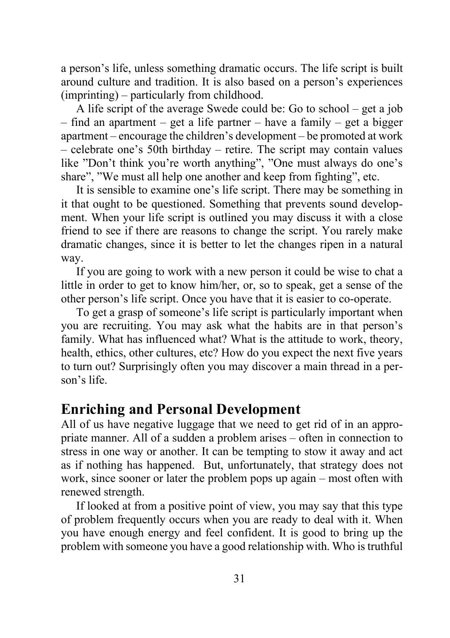a person's life, unless something dramatic occurs. The life script is built around culture and tradition. It is also based on a person's experiences (imprinting) – particularly from childhood.

A life script of the average Swede could be: Go to school – get a job – find an apartment – get a life partner – have a family – get a bigger apartment – encourage the children's development – be promoted at work – celebrate one's 50th birthday – retire. The script may contain values like "Don't think you're worth anything", "One must always do one's share", "We must all help one another and keep from fighting", etc.

It is sensible to examine one's life script. There may be something in it that ought to be questioned. Something that prevents sound development. When your life script is outlined you may discuss it with a close friend to see if there are reasons to change the script. You rarely make dramatic changes, since it is better to let the changes ripen in a natural way.

If you are going to work with a new person it could be wise to chat a little in order to get to know him/her, or, so to speak, get a sense of the other person's life script. Once you have that it is easier to co-operate.

To get a grasp of someone's life script is particularly important when you are recruiting. You may ask what the habits are in that person's family. What has influenced what? What is the attitude to work, theory, health, ethics, other cultures, etc? How do you expect the next five years to turn out? Surprisingly often you may discover a main thread in a person's life.

#### **Enriching and Personal Development**

All of us have negative luggage that we need to get rid of in an appropriate manner. All of a sudden a problem arises – often in connection to stress in one way or another. It can be tempting to stow it away and act as if nothing has happened. But, unfortunately, that strategy does not work, since sooner or later the problem pops up again – most often with renewed strength.

If looked at from a positive point of view, you may say that this type of problem frequently occurs when you are ready to deal with it. When you have enough energy and feel confident. It is good to bring up the problem with someone you have a good relationship with. Who is truthful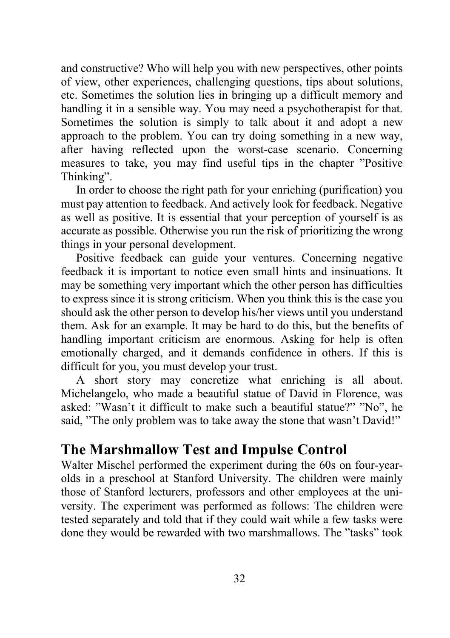and constructive? Who will help you with new perspectives, other points of view, other experiences, challenging questions, tips about solutions, etc. Sometimes the solution lies in bringing up a difficult memory and handling it in a sensible way. You may need a psychotherapist for that. Sometimes the solution is simply to talk about it and adopt a new approach to the problem. You can try doing something in a new way, after having reflected upon the worst-case scenario. Concerning measures to take, you may find useful tips in the chapter "Positive Thinking".

In order to choose the right path for your enriching (purification) you must pay attention to feedback. And actively look for feedback. Negative as well as positive. It is essential that your perception of yourself is as accurate as possible. Otherwise you run the risk of prioritizing the wrong things in your personal development.

Positive feedback can guide your ventures. Concerning negative feedback it is important to notice even small hints and insinuations. It may be something very important which the other person has difficulties to express since it is strong criticism. When you think this is the case you should ask the other person to develop his/her views until you understand them. Ask for an example. It may be hard to do this, but the benefits of handling important criticism are enormous. Asking for help is often emotionally charged, and it demands confidence in others. If this is difficult for you, you must develop your trust.

A short story may concretize what enriching is all about. Michelangelo, who made a beautiful statue of David in Florence, was asked: "Wasn't it difficult to make such a beautiful statue?" "No", he said, "The only problem was to take away the stone that wasn't David!"

#### **The Marshmallow Test and Impulse Control**

Walter Mischel performed the experiment during the 60s on four-yearolds in a preschool at Stanford University. The children were mainly those of Stanford lecturers, professors and other employees at the university. The experiment was performed as follows: The children were tested separately and told that if they could wait while a few tasks were done they would be rewarded with two marshmallows. The "tasks" took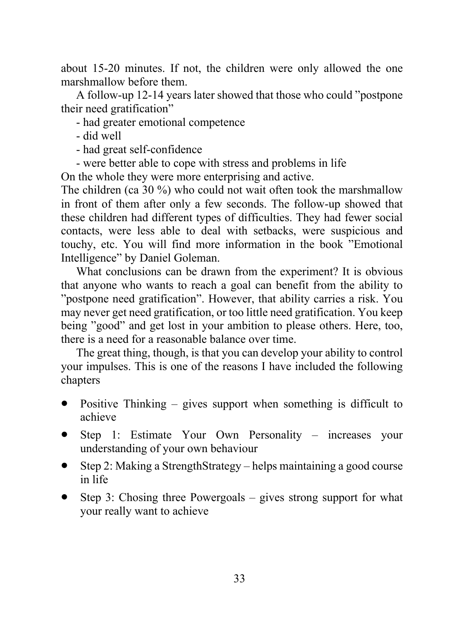about 15-20 minutes. If not, the children were only allowed the one marshmallow before them.

A follow-up 12-14 years later showed that those who could "postpone their need gratification"

- had greater emotional competence
- did well
- had great self-confidence
- were better able to cope with stress and problems in life

On the whole they were more enterprising and active.

The children (ca 30 %) who could not wait often took the marshmallow in front of them after only a few seconds. The follow-up showed that these children had different types of difficulties. They had fewer social contacts, were less able to deal with setbacks, were suspicious and touchy, etc. You will find more information in the book "Emotional Intelligence" by Daniel Goleman.

What conclusions can be drawn from the experiment? It is obvious that anyone who wants to reach a goal can benefit from the ability to "postpone need gratification". However, that ability carries a risk. You may never get need gratification, or too little need gratification. You keep being "good" and get lost in your ambition to please others. Here, too, there is a need for a reasonable balance over time.

The great thing, though, is that you can develop your ability to control your impulses. This is one of the reasons I have included the following chapters

- Positive Thinking gives support when something is difficult to achieve
- Step 1: Estimate Your Own Personality increases your understanding of your own behaviour
- Step 2: Making a StrengthStrategy helps maintaining a good course in life
- Step 3: Chosing three Powergoals  $-$  gives strong support for what your really want to achieve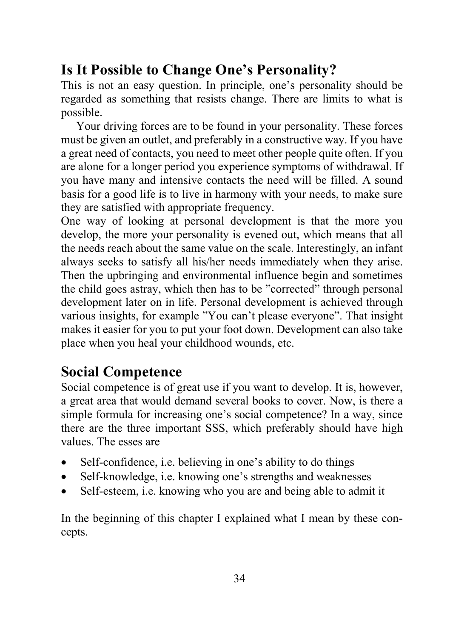## **Is It Possible to Change One's Personality?**

This is not an easy question. In principle, one's personality should be regarded as something that resists change. There are limits to what is possible.

Your driving forces are to be found in your personality. These forces must be given an outlet, and preferably in a constructive way. If you have a great need of contacts, you need to meet other people quite often. If you are alone for a longer period you experience symptoms of withdrawal. If you have many and intensive contacts the need will be filled. A sound basis for a good life is to live in harmony with your needs, to make sure they are satisfied with appropriate frequency.

One way of looking at personal development is that the more you develop, the more your personality is evened out, which means that all the needs reach about the same value on the scale. Interestingly, an infant always seeks to satisfy all his/her needs immediately when they arise. Then the upbringing and environmental influence begin and sometimes the child goes astray, which then has to be "corrected" through personal development later on in life. Personal development is achieved through various insights, for example "You can't please everyone". That insight makes it easier for you to put your foot down. Development can also take place when you heal your childhood wounds, etc.

## **Social Competence**

Social competence is of great use if you want to develop. It is, however, a great area that would demand several books to cover. Now, is there a simple formula for increasing one's social competence? In a way, since there are the three important SSS, which preferably should have high values. The esses are

- Self-confidence, i.e. believing in one's ability to do things
- Self-knowledge, i.e. knowing one's strengths and weaknesses
- Self-esteem, i.e. knowing who you are and being able to admit it

In the beginning of this chapter I explained what I mean by these concepts.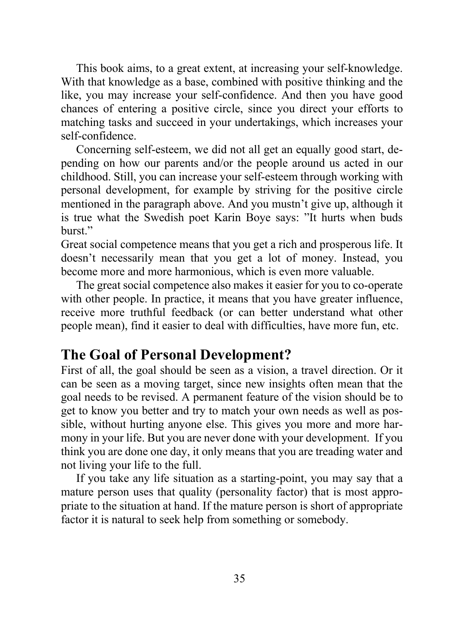This book aims, to a great extent, at increasing your self-knowledge. With that knowledge as a base, combined with positive thinking and the like, you may increase your self-confidence. And then you have good chances of entering a positive circle, since you direct your efforts to matching tasks and succeed in your undertakings, which increases your self-confidence.

Concerning self-esteem, we did not all get an equally good start, depending on how our parents and/or the people around us acted in our childhood. Still, you can increase your self-esteem through working with personal development, for example by striving for the positive circle mentioned in the paragraph above. And you mustn't give up, although it is true what the Swedish poet Karin Boye says: "It hurts when buds burst."

Great social competence means that you get a rich and prosperous life. It doesn't necessarily mean that you get a lot of money. Instead, you become more and more harmonious, which is even more valuable.

The great social competence also makes it easier for you to co-operate with other people. In practice, it means that you have greater influence, receive more truthful feedback (or can better understand what other people mean), find it easier to deal with difficulties, have more fun, etc.

## **The Goal of Personal Development?**

First of all, the goal should be seen as a vision, a travel direction. Or it can be seen as a moving target, since new insights often mean that the goal needs to be revised. A permanent feature of the vision should be to get to know you better and try to match your own needs as well as possible, without hurting anyone else. This gives you more and more harmony in your life. But you are never done with your development. If you think you are done one day, it only means that you are treading water and not living your life to the full.

If you take any life situation as a starting-point, you may say that a mature person uses that quality (personality factor) that is most appropriate to the situation at hand. If the mature person is short of appropriate factor it is natural to seek help from something or somebody.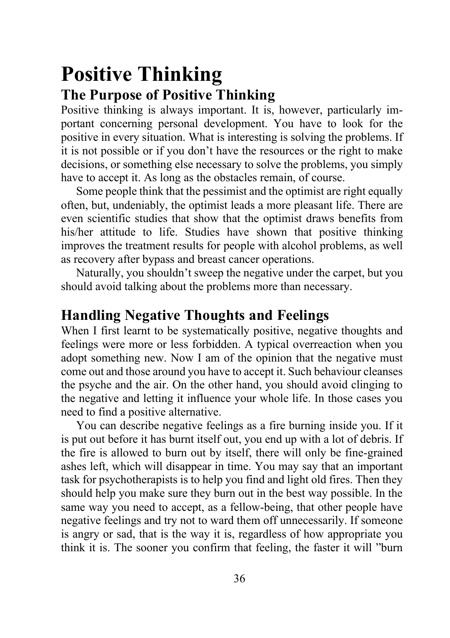## **Positive Thinking The Purpose of Positive Thinking**

Positive thinking is always important. It is, however, particularly important concerning personal development. You have to look for the positive in every situation. What is interesting is solving the problems. If it is not possible or if you don't have the resources or the right to make decisions, or something else necessary to solve the problems, you simply have to accept it. As long as the obstacles remain, of course.

Some people think that the pessimist and the optimist are right equally often, but, undeniably, the optimist leads a more pleasant life. There are even scientific studies that show that the optimist draws benefits from his/her attitude to life. Studies have shown that positive thinking improves the treatment results for people with alcohol problems, as well as recovery after bypass and breast cancer operations.

Naturally, you shouldn't sweep the negative under the carpet, but you should avoid talking about the problems more than necessary.

## **Handling Negative Thoughts and Feelings**

When I first learnt to be systematically positive, negative thoughts and feelings were more or less forbidden. A typical overreaction when you adopt something new. Now I am of the opinion that the negative must come out and those around you have to accept it. Such behaviour cleanses the psyche and the air. On the other hand, you should avoid clinging to the negative and letting it influence your whole life. In those cases you need to find a positive alternative.

You can describe negative feelings as a fire burning inside you. If it is put out before it has burnt itself out, you end up with a lot of debris. If the fire is allowed to burn out by itself, there will only be fine-grained ashes left, which will disappear in time. You may say that an important task for psychotherapists is to help you find and light old fires. Then they should help you make sure they burn out in the best way possible. In the same way you need to accept, as a fellow-being, that other people have negative feelings and try not to ward them off unnecessarily. If someone is angry or sad, that is the way it is, regardless of how appropriate you think it is. The sooner you confirm that feeling, the faster it will "burn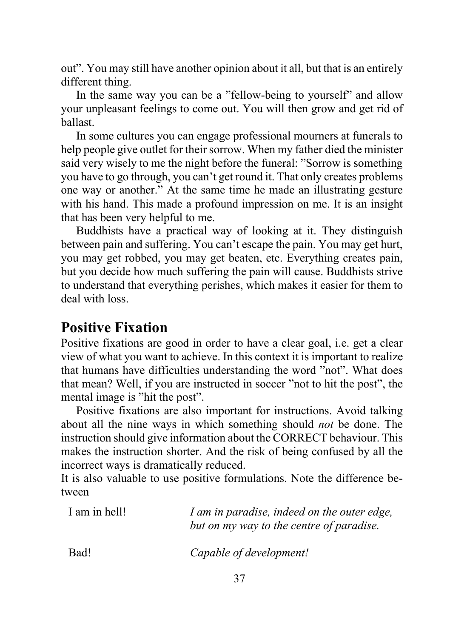out". You may still have another opinion about it all, but that is an entirely different thing.

In the same way you can be a "fellow-being to yourself" and allow your unpleasant feelings to come out. You will then grow and get rid of ballast.

In some cultures you can engage professional mourners at funerals to help people give outlet for their sorrow. When my father died the minister said very wisely to me the night before the funeral: "Sorrow is something you have to go through, you can't get round it. That only creates problems one way or another." At the same time he made an illustrating gesture with his hand. This made a profound impression on me. It is an insight that has been very helpful to me.

Buddhists have a practical way of looking at it. They distinguish between pain and suffering. You can't escape the pain. You may get hurt, you may get robbed, you may get beaten, etc. Everything creates pain, but you decide how much suffering the pain will cause. Buddhists strive to understand that everything perishes, which makes it easier for them to deal with loss.

### **Positive Fixation**

Positive fixations are good in order to have a clear goal, i.e. get a clear view of what you want to achieve. In this context it is important to realize that humans have difficulties understanding the word "not". What does that mean? Well, if you are instructed in soccer "not to hit the post", the mental image is "hit the post".

Positive fixations are also important for instructions. Avoid talking about all the nine ways in which something should *not* be done. The instruction should give information about the CORRECT behaviour. This makes the instruction shorter. And the risk of being confused by all the incorrect ways is dramatically reduced.

It is also valuable to use positive formulations. Note the difference between

| I am in hell! | I am in paradise, indeed on the outer edge,<br>but on my way to the centre of paradise. |
|---------------|-----------------------------------------------------------------------------------------|
| Bad!          | Capable of development!                                                                 |